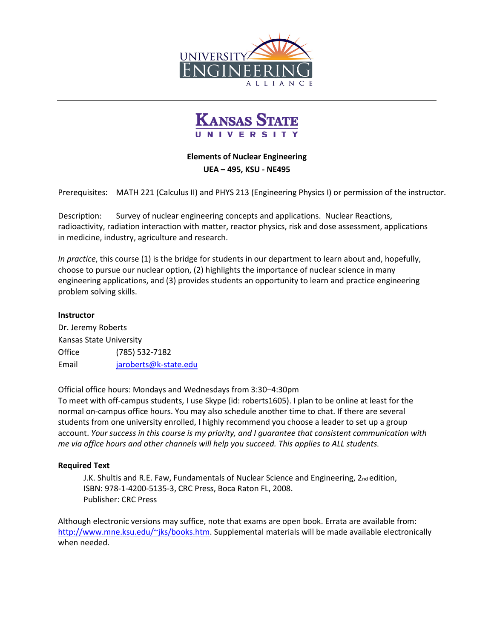



**Elements of Nuclear Engineering UEA – 495, KSU - NE495**

Prerequisites: MATH 221 (Calculus II) and PHYS 213 (Engineering Physics I) or permission of the instructor.

Description: Survey of nuclear engineering concepts and applications. Nuclear Reactions, radioactivity, radiation interaction with matter, reactor physics, risk and dose assessment, applications in medicine, industry, agriculture and research.

*In practice*, this course (1) is the bridge for students in our department to learn about and, hopefully, choose to pursue our nuclear option, (2) highlights the importance of nuclear science in many engineering applications, and (3) provides students an opportunity to learn and practice engineering problem solving skills.

### **Instructor**

Dr. Jeremy Roberts Kansas State University Office (785) 532-7182 Email [jaroberts@k-state.edu](mailto:jaroberts@k-state.edu)

Official office hours: Mondays and Wednesdays from 3:30–4:30pm

To meet with off-campus students, I use Skype (id: roberts1605). I plan to be online at least for the normal on-campus office hours. You may also schedule another time to chat. If there are several students from one university enrolled, I highly recommend you choose a leader to set up a group account. *Your success in this course is my priority, and I guarantee that consistent communication with me via office hours and other channels will help you succeed. This applies to ALL students.*

### **Required Text**

J.K. Shultis and R.E. Faw, Fundamentals of Nuclear Science and Engineering, 2nd edition, ISBN: 978-1-4200-5135-3, CRC Press, Boca Raton FL, 2008. Publisher: CRC Press

Although electronic versions may suffice, note that exams are open book. Errata are available from: [http://www.mne.ksu.edu/~jks/books.htm.](http://www.mne.ksu.edu/%7Ejks/books.htm) Supplemental materials will be made available electronically when needed.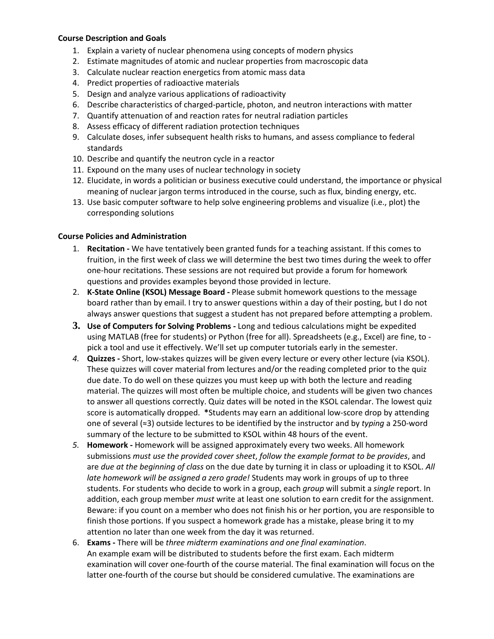### **Course Description and Goals**

- 1. Explain a variety of nuclear phenomena using concepts of modern physics
- 2. Estimate magnitudes of atomic and nuclear properties from macroscopic data
- 3. Calculate nuclear reaction energetics from atomic mass data
- 4. Predict properties of radioactive materials
- 5. Design and analyze various applications of radioactivity
- 6. Describe characteristics of charged-particle, photon, and neutron interactions with matter
- 7. Quantify attenuation of and reaction rates for neutral radiation particles
- 8. Assess efficacy of different radiation protection techniques
- 9. Calculate doses, infer subsequent health risks to humans, and assess compliance to federal standards
- 10. Describe and quantify the neutron cycle in a reactor
- 11. Expound on the many uses of nuclear technology in society
- 12. Elucidate, in words a politician or business executive could understand, the importance or physical meaning of nuclear jargon terms introduced in the course, such as flux, binding energy, etc.
- 13. Use basic computer software to help solve engineering problems and visualize (i.e., plot) the corresponding solutions

### **Course Policies and Administration**

- 1. **Recitation -** We have tentatively been granted funds for a teaching assistant. If this comes to fruition, in the first week of class we will determine the best two times during the week to offer one-hour recitations. These sessions are not required but provide a forum for homework questions and provides examples beyond those provided in lecture.
- 2. **K-State Online (KSOL) Message Board -** Please submit homework questions to the message board rather than by email. I try to answer questions within a day of their posting, but I do not always answer questions that suggest a student has not prepared before attempting a problem.
- **3. Use of Computers for Solving Problems -** Long and tedious calculations might be expedited using MATLAB (free for students) or Python (free for all). Spreadsheets (e.g., Excel) are fine, to pick a tool and use it effectively. We'll set up computer tutorials early in the semester.
- *4.* **Quizzes -** Short, low-stakes quizzes will be given every lecture or every other lecture (via KSOL). These quizzes will cover material from lectures and/or the reading completed prior to the quiz due date. To do well on these quizzes you must keep up with both the lecture and reading material. The quizzes will most often be multiple choice, and students will be given two chances to answer all questions correctly. Quiz dates will be noted in the KSOL calendar. The lowest quiz score is automatically dropped. **\***Students may earn an additional low-score drop by attending one of several (≈3) outside lectures to be identified by the instructor and by *typing* a 250-word summary of the lecture to be submitted to KSOL within 48 hours of the event.
- *5.* **Homework -** Homework will be assigned approximately every two weeks. All homework submissions *must use the provided cover sheet*, *follow the example format to be provides*, and are *due at the beginning of class* on the due date by turning it in class or uploading it to KSOL. *All late homework will be assigned a zero grade!* Students may work in groups of up to three students. For students who decide to work in a group, each *group* will submit a *single* report. In addition, each group member *must* write at least one solution to earn credit for the assignment. Beware: if you count on a member who does not finish his or her portion, you are responsible to finish those portions. If you suspect a homework grade has a mistake, please bring it to my attention no later than one week from the day it was returned.
- 6. **Exams -** There will be *three midterm examinations and one final examination*. An example exam will be distributed to students before the first exam. Each midterm examination will cover one-fourth of the course material. The final examination will focus on the latter one-fourth of the course but should be considered cumulative. The examinations are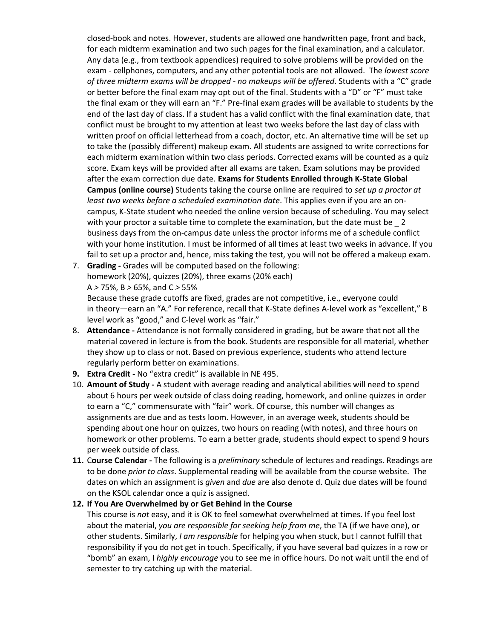closed-book and notes. However, students are allowed one handwritten page, front and back, for each midterm examination and two such pages for the final examination, and a calculator. Any data (e.g., from textbook appendices) required to solve problems will be provided on the exam - cellphones, computers, and any other potential tools are not allowed. The *lowest score of three midterm exams will be dropped - no makeups will be offered*. Students with a "C" grade or better before the final exam may opt out of the final. Students with a "D" or "F" must take the final exam or they will earn an "F." Pre-final exam grades will be available to students by the end of the last day of class. If a student has a valid conflict with the final examination date, that conflict must be brought to my attention at least two weeks before the last day of class with written proof on official letterhead from a coach, doctor, etc. An alternative time will be set up to take the (possibly different) makeup exam. All students are assigned to write corrections for each midterm examination within two class periods. Corrected exams will be counted as a quiz score. Exam keys will be provided after all exams are taken. Exam solutions may be provided after the exam correction due date. **Exams for Students Enrolled through K-State Global Campus (online course)** Students taking the course online are required to *set up a proctor at least two weeks before a scheduled examination date*. This applies even if you are an oncampus, K-State student who needed the online version because of scheduling. You may select with your proctor a suitable time to complete the examination, but the date must be 2 business days from the on-campus date unless the proctor informs me of a schedule conflict with your home institution. I must be informed of all times at least two weeks in advance. If you fail to set up a proctor and, hence, miss taking the test, you will not be offered a makeup exam.

7. **Grading -** Grades will be computed based on the following: homework (20%), quizzes (20%), three exams (20% each) A *>* 75%, B *>* 65%, and C *>* 55%

Because these grade cutoffs are fixed, grades are not competitive, i.e., everyone could in theory—earn an "A." For reference, recall that K-State defines A-level work as "excellent," B level work as "good," and C-level work as "fair."

- 8. **Attendance -** Attendance is not formally considered in grading, but be aware that not all the material covered in lecture is from the book. Students are responsible for all material, whether they show up to class or not. Based on previous experience, students who attend lecture regularly perform better on examinations.
- **9. Extra Credit -** No "extra credit" is available in NE 495.
- 10. **Amount of Study -** A student with average reading and analytical abilities will need to spend about 6 hours per week outside of class doing reading, homework, and online quizzes in order to earn a "C," commensurate with "fair" work. Of course, this number will changes as assignments are due and as tests loom. However, in an average week, students should be spending about one hour on quizzes, two hours on reading (with notes), and three hours on homework or other problems. To earn a better grade, students should expect to spend 9 hours per week outside of class.
- **11.** C**ourse Calendar -** The following is a *preliminary* schedule of lectures and readings. Readings are to be done *prior to class*. Supplemental reading will be available from the course website. The dates on which an assignment is *given* and *due* are also denote d. Quiz due dates will be found on the KSOL calendar once a quiz is assigned.

#### **12. If You Are Overwhelmed by or Get Behind in the Course**

This course is *not* easy, and it is OK to feel somewhat overwhelmed at times. If you feel lost about the material, *you are responsible for seeking help from me*, the TA (if we have one), or other students. Similarly, *I am responsible* for helping you when stuck, but I cannot fulfill that responsibility if you do not get in touch. Specifically, if you have several bad quizzes in a row or "bomb" an exam, I *highly encourage* you to see me in office hours. Do not wait until the end of semester to try catching up with the material.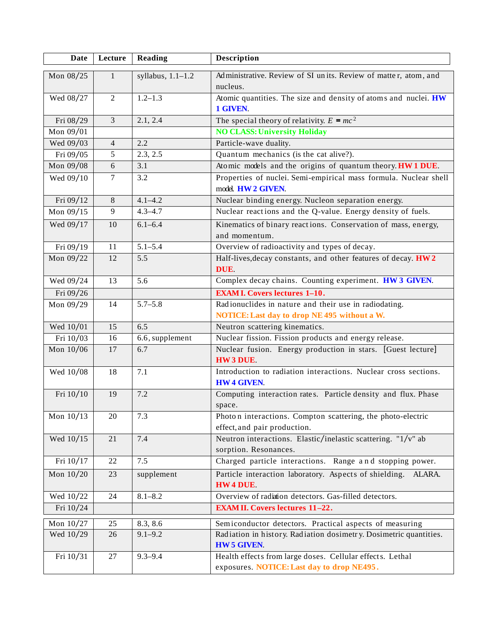| <b>Date</b>            | Lecture        | Reading             | <b>Description</b>                                                                                      |
|------------------------|----------------|---------------------|---------------------------------------------------------------------------------------------------------|
| Mon 08/25              | $\mathbf{1}$   | syllabus, $1.1-1.2$ | Administrative. Review of SI units. Review of matter, atom, and<br>nucleus.                             |
| Wed 08/27              | $\overline{2}$ | $1.2 - 1.3$         | Atomic quantities. The size and density of atoms and nuclei. HW<br>1 GIVEN.                             |
| Fri 08/29              | $\overline{3}$ | 2.1, 2.4            | The special theory of relativity. $E = mc^2$                                                            |
| Mon 09/01              |                |                     | <b>NO CLASS: University Holiday</b>                                                                     |
| Wed 09/03              | $\overline{4}$ | 2.2                 | Particle-wave duality.                                                                                  |
| Fri 09/05              | 5              | 2.3, 2.5            | Quantum mechanics (is the cat alive?).                                                                  |
| Mon 09/08              | 6              | 3.1                 | Atomic models and the origins of quantum theory. HW1 DUE.                                               |
| Wed 09/10              | $\tau$         | 3.2                 | Properties of nuclei. Semi-empirical mass formula. Nuclear shell<br>model. HW2 GIVEN.                   |
| Fri 09/12              | $8\,$          | $4.1 - 4.2$         | Nuclear binding energy. Nucleon separation energy.                                                      |
| Mon $09/15$            | 9              | $4.3 - 4.7$         | Nuclear reactions and the Q-value. Energy density of fuels.                                             |
| Wed 09/17              | 10             | $6.1 - 6.4$         | Kinematics of binary reactions. Conservation of mass, energy,<br>and momentum.                          |
| Fri $\overline{09/19}$ | 11             | $5.1 - 5.4$         | Overview of radioactivity and types of decay.                                                           |
| Mon 09/22              | 12             | 5.5                 | Half-lives, decay constants, and other features of decay. HW2<br>DUE.                                   |
| Wed 09/24              | 13             | 5.6                 | Complex decay chains. Counting experiment. HW3 GIVEN.                                                   |
| Fri 09/26              |                |                     | <b>EXAMI.</b> Covers lectures 1-10.                                                                     |
| Mon 09/29              | 14             | $5.7 - 5.8$         | Radionuclides in nature and their use in radiodating.<br>NOTICE: Last day to drop NE 495 without a W.   |
| Wed 10/01              | 15             | 6.5                 | Neutron scattering kinematics.                                                                          |
| Fri 10/03              | 16             | 6.6, supplement     | Nuclear fission. Fission products and energy release.                                                   |
| Mon 10/06              | 17             | 6.7                 | Nuclear fusion. Energy production in stars. [Guest lecture]<br>HW3 DUE.                                 |
| Wed 10/08              | 18             | 7.1                 | Introduction to radiation interactions. Nuclear cross sections.<br><b>HW4 GIVEN.</b>                    |
| Fri 10/10              | 19             | 7.2                 | Computing interaction rates. Particle density and flux. Phase<br>space.                                 |
| Mon $10/13$            | 20             | 7.3                 | Photon interactions. Compton scattering, the photo-electric<br>effect, and pair production.             |
| Wed 10/15              | 21             | 7.4                 | Neutron interactions. Elastic/inelastic scattering. "1/v" ab<br>sorption. Resonances.                   |
| Fri 10/17              | 22             | 7.5                 | Charged particle interactions. Range and stopping power.                                                |
| Mon 10/20              | 23             | supplement          | Particle interaction laboratory. Aspects of shielding. ALARA.<br>HW4 DUE.                               |
| Wed 10/22              | 24             | $8.1 - 8.2$         | Overview of radiation detectors. Gas-filled detectors.                                                  |
| Fri 10/24              |                |                     | <b>EXAMII.</b> Covers lectures 11-22.                                                                   |
| Mon $10/27$            | 25             | 8.3, 8.6            | Semiconductor detectors. Practical aspects of measuring                                                 |
| Wed 10/29              | 26             | $9.1 - 9.2$         | Radiation in history. Radiation dosimetry. Dosimetric quantities.<br><b>HW5 GIVEN.</b>                  |
| Fri 10/31              | 27             | $9.3 - 9.4$         | Health effects from large doses. Cellular effects. Lethal<br>exposures. NOTICE: Last day to drop NE495. |